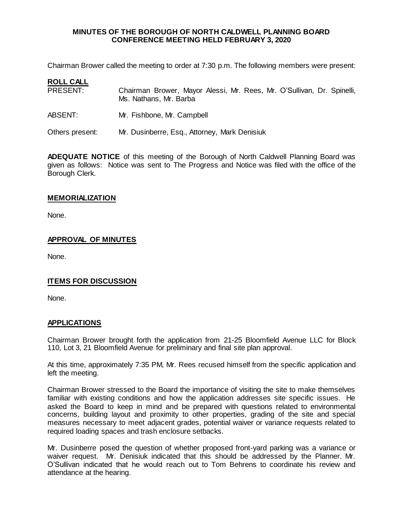#### **MINUTES OF THE BOROUGH OF NORTH CALDWELL PLANNING BOARD CONFERENCE MEETING HELD FEBRUARY 3, 2020**

Chairman Brower called the meeting to order at 7:30 p.m. The following members were present:

| <b>ROLL CALL</b> |                                                                                                  |
|------------------|--------------------------------------------------------------------------------------------------|
| PRESENT:         | Chairman Brower, Mayor Alessi, Mr. Rees, Mr. O'Sullivan, Dr. Spinelli,<br>Ms. Nathans, Mr. Barba |
| ABSENT:          | Mr. Fishbone, Mr. Campbell                                                                       |
| Others present:  | Mr. Dusinberre, Esq., Attorney, Mark Denisiuk                                                    |

**ADEQUATE NOTICE** of this meeting of the Borough of North Caldwell Planning Board was given as follows: Notice was sent to The Progress and Notice was filed with the office of the Borough Clerk.

# **MEMORIALIZATION**

None.

### **APPROVAL OF MINUTES**

None.

# **ITEMS FOR DISCUSSION**

None.

#### **APPLICATIONS**

Chairman Brower brought forth the application from 21-25 Bloomfield Avenue LLC for Block 110, Lot 3, 21 Bloomfield Avenue for preliminary and final site plan approval.

At this time, approximately 7:35 PM, Mr. Rees recused himself from the specific application and left the meeting.

Chairman Brower stressed to the Board the importance of visiting the site to make themselves familiar with existing conditions and how the application addresses site specific issues. He asked the Board to keep in mind and be prepared with questions related to environmental concerns, building layout and proximity to other properties, grading of the site and special measures necessary to meet adjacent grades, potential waiver or variance requests related to required loading spaces and trash enclosure setbacks.

Mr. Dusinberre posed the question of whether proposed front-yard parking was a variance or waiver request. Mr. Denisiuk indicated that this should be addressed by the Planner. Mr. O'Sullivan indicated that he would reach out to Tom Behrens to coordinate his review and attendance at the hearing.